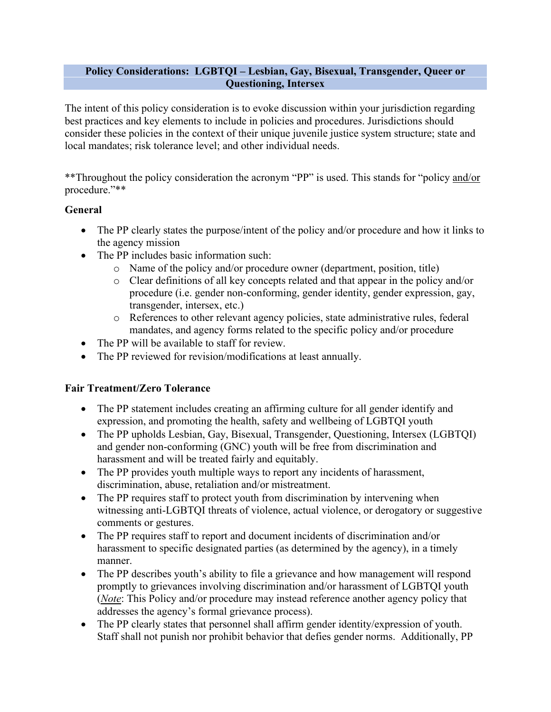#### **Policy Considerations: LGBTQI – Lesbian, Gay, Bisexual, Transgender, Queer or Questioning, Intersex**

The intent of this policy consideration is to evoke discussion within your jurisdiction regarding best practices and key elements to include in policies and procedures. Jurisdictions should consider these policies in the context of their unique juvenile justice system structure; state and local mandates; risk tolerance level; and other individual needs.

\*\*Throughout the policy consideration the acronym "PP" is used. This stands for "policy and/or procedure."\*\*

### **General**

- The PP clearly states the purpose/intent of the policy and/or procedure and how it links to the agency mission
- The PP includes basic information such:
	- o Name of the policy and/or procedure owner (department, position, title)
	- o Clear definitions of all key concepts related and that appear in the policy and/or procedure (i.e. gender non-conforming, gender identity, gender expression, gay, transgender, intersex, etc.)
	- o References to other relevant agency policies, state administrative rules, federal mandates, and agency forms related to the specific policy and/or procedure
- The PP will be available to staff for review.
- The PP reviewed for revision/modifications at least annually.

### **Fair Treatment/Zero Tolerance**

- The PP statement includes creating an affirming culture for all gender identify and expression, and promoting the health, safety and wellbeing of LGBTQI youth
- The PP upholds Lesbian, Gay, Bisexual, Transgender, Questioning, Intersex (LGBTQI) and gender non-conforming (GNC) youth will be free from discrimination and harassment and will be treated fairly and equitably.
- The PP provides youth multiple ways to report any incidents of harassment, discrimination, abuse, retaliation and/or mistreatment.
- The PP requires staff to protect youth from discrimination by intervening when witnessing anti-LGBTQI threats of violence, actual violence, or derogatory or suggestive comments or gestures.
- The PP requires staff to report and document incidents of discrimination and/or harassment to specific designated parties (as determined by the agency), in a timely manner.
- The PP describes youth's ability to file a grievance and how management will respond promptly to grievances involving discrimination and/or harassment of LGBTQI youth (*Note*: This Policy and/or procedure may instead reference another agency policy that addresses the agency's formal grievance process).
- The PP clearly states that personnel shall affirm gender identity/expression of youth. Staff shall not punish nor prohibit behavior that defies gender norms. Additionally, PP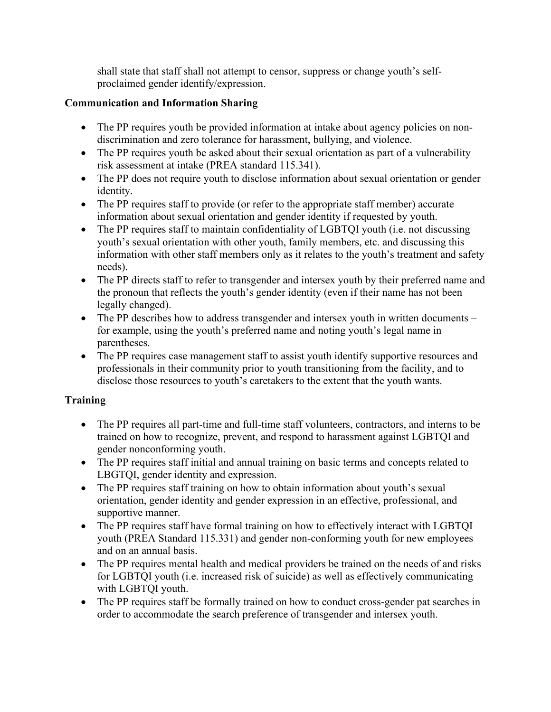shall state that staff shall not attempt to censor, suppress or change youth's selfproclaimed gender identify/expression.

## **Communication and Information Sharing**

- The PP requires youth be provided information at intake about agency policies on nondiscrimination and zero tolerance for harassment, bullying, and violence.
- The PP requires youth be asked about their sexual orientation as part of a vulnerability risk assessment at intake (PREA standard 115.341).
- The PP does not require youth to disclose information about sexual orientation or gender identity.
- The PP requires staff to provide (or refer to the appropriate staff member) accurate information about sexual orientation and gender identity if requested by youth.
- The PP requires staff to maintain confidentiality of LGBTOI youth (i.e. not discussing youth's sexual orientation with other youth, family members, etc. and discussing this information with other staff members only as it relates to the youth's treatment and safety needs).
- The PP directs staff to refer to transgender and intersex youth by their preferred name and the pronoun that reflects the youth's gender identity (even if their name has not been legally changed).
- The PP describes how to address transgender and intersex youth in written documents for example, using the youth's preferred name and noting youth's legal name in parentheses.
- The PP requires case management staff to assist youth identify supportive resources and professionals in their community prior to youth transitioning from the facility, and to disclose those resources to youth's caretakers to the extent that the youth wants.

# **Training**

- The PP requires all part-time and full-time staff volunteers, contractors, and interns to be trained on how to recognize, prevent, and respond to harassment against LGBTQI and gender nonconforming youth.
- The PP requires staff initial and annual training on basic terms and concepts related to LBGTQI, gender identity and expression.
- The PP requires staff training on how to obtain information about youth's sexual orientation, gender identity and gender expression in an effective, professional, and supportive manner.
- The PP requires staff have formal training on how to effectively interact with LGBTQI youth (PREA Standard 115.331) and gender non-conforming youth for new employees and on an annual basis.
- The PP requires mental health and medical providers be trained on the needs of and risks for LGBTQI youth (i.e. increased risk of suicide) as well as effectively communicating with LGBTQI youth.
- The PP requires staff be formally trained on how to conduct cross-gender pat searches in order to accommodate the search preference of transgender and intersex youth.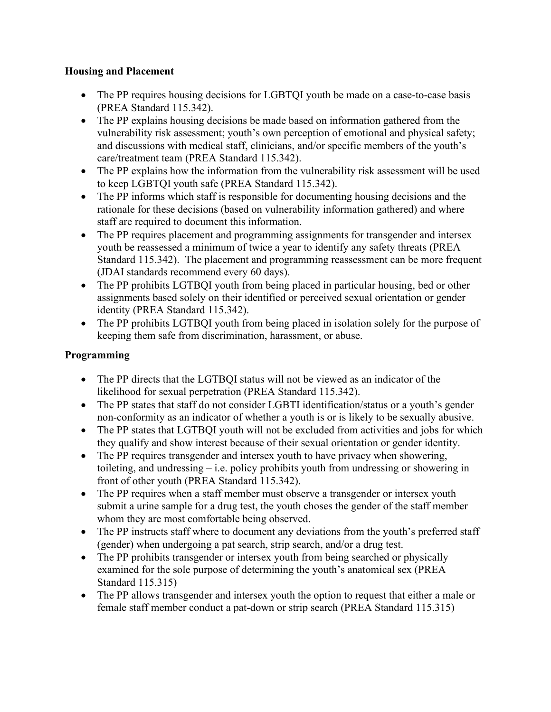## **Housing and Placement**

- The PP requires housing decisions for LGBTOI youth be made on a case-to-case basis (PREA Standard 115.342).
- The PP explains housing decisions be made based on information gathered from the vulnerability risk assessment; youth's own perception of emotional and physical safety; and discussions with medical staff, clinicians, and/or specific members of the youth's care/treatment team (PREA Standard 115.342).
- The PP explains how the information from the vulnerability risk assessment will be used to keep LGBTQI youth safe (PREA Standard 115.342).
- The PP informs which staff is responsible for documenting housing decisions and the rationale for these decisions (based on vulnerability information gathered) and where staff are required to document this information.
- The PP requires placement and programming assignments for transgender and intersex youth be reassessed a minimum of twice a year to identify any safety threats (PREA Standard 115.342). The placement and programming reassessment can be more frequent (JDAI standards recommend every 60 days).
- The PP prohibits LGTBQI youth from being placed in particular housing, bed or other assignments based solely on their identified or perceived sexual orientation or gender identity (PREA Standard 115.342).
- The PP prohibits LGTBQI youth from being placed in isolation solely for the purpose of keeping them safe from discrimination, harassment, or abuse.

# **Programming**

- The PP directs that the LGTBQI status will not be viewed as an indicator of the likelihood for sexual perpetration (PREA Standard 115.342).
- The PP states that staff do not consider LGBTI identification/status or a youth's gender non-conformity as an indicator of whether a youth is or is likely to be sexually abusive.
- The PP states that LGTBQI youth will not be excluded from activities and jobs for which they qualify and show interest because of their sexual orientation or gender identity.
- The PP requires transgender and intersex youth to have privacy when showering, toileting, and undressing – i.e. policy prohibits youth from undressing or showering in front of other youth (PREA Standard 115.342).
- The PP requires when a staff member must observe a transgender or intersex youth submit a urine sample for a drug test, the youth choses the gender of the staff member whom they are most comfortable being observed.
- The PP instructs staff where to document any deviations from the youth's preferred staff (gender) when undergoing a pat search, strip search, and/or a drug test.
- The PP prohibits transgender or intersex youth from being searched or physically examined for the sole purpose of determining the youth's anatomical sex (PREA Standard 115.315)
- The PP allows transgender and intersex youth the option to request that either a male or female staff member conduct a pat-down or strip search (PREA Standard 115.315)